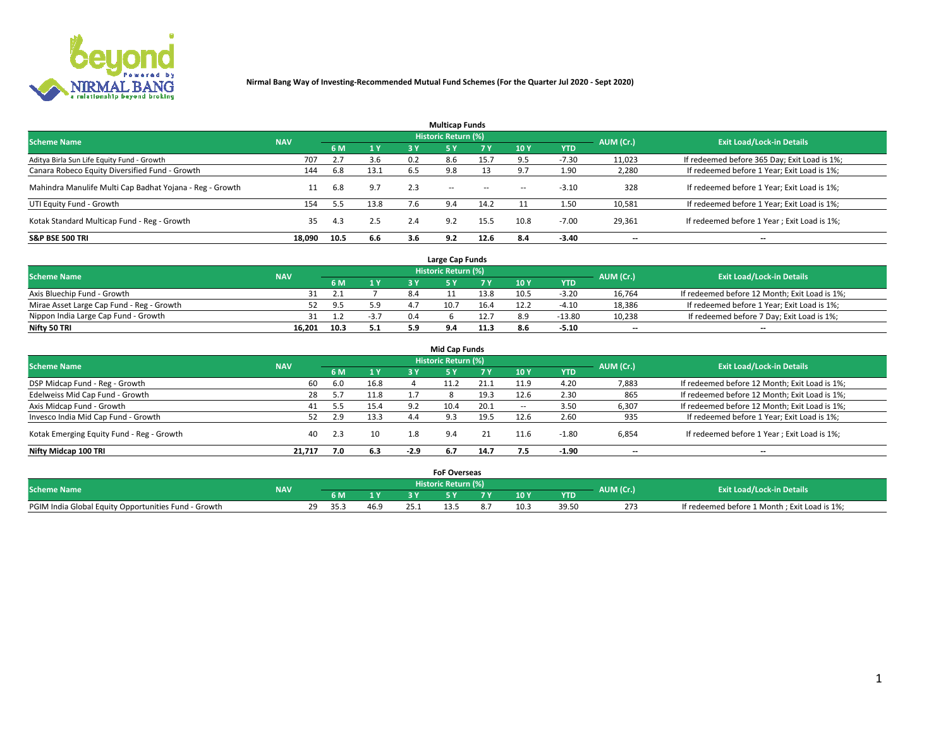

| <b>Multicap Funds</b>                                    |            |      |      |     |                     |           |                          |            |           |                                              |  |  |  |
|----------------------------------------------------------|------------|------|------|-----|---------------------|-----------|--------------------------|------------|-----------|----------------------------------------------|--|--|--|
| <b>Scheme Name</b>                                       | <b>NAV</b> |      |      |     | Historic Return (%) |           |                          |            | AUM (Cr.) | <b>Exit Load/Lock-in Details</b>             |  |  |  |
|                                                          |            | 6 M  | 1Y   | 3 Y | <b>5Y</b>           | <b>7Y</b> | 10Y                      | <b>YTD</b> |           |                                              |  |  |  |
| Aditya Birla Sun Life Equity Fund - Growth               | 707        |      | 3.6  | 0.2 | 8.6                 | 15.7      |                          | $-7.30$    | 11,023    | If redeemed before 365 Day; Exit Load is 1%; |  |  |  |
| Canara Robeco Equity Diversified Fund - Growth           | 144        | 6.8  | 13.1 | 6.5 | 9.8                 |           |                          | 1.90       | 2,280     | If redeemed before 1 Year; Exit Load is 1%;  |  |  |  |
| Mahindra Manulife Multi Cap Badhat Yojana - Reg - Growth | 11         | 6.8  | 9.7  | 2.3 | $\sim$ $-$          | $\sim$    | $\overline{\phantom{a}}$ | $-3.10$    | 328       | If redeemed before 1 Year; Exit Load is 1%;  |  |  |  |
| UTI Equity Fund - Growth                                 | 154        |      | 13.8 |     | 9.4                 | 14.2      |                          | 1.50       | 10,581    | If redeemed before 1 Year; Exit Load is 1%;  |  |  |  |
| Kotak Standard Multicap Fund - Reg - Growth              | 35         | 4.3  | 2.5  | 2.4 | 9.2                 | 15.5      | 10.8                     | $-7.00$    | 29,361    | If redeemed before 1 Year; Exit Load is 1%;  |  |  |  |
| <b>S&amp;P BSE 500 TRI</b>                               | 18.090     | 10.5 | 6.6  | 3.6 | 9.2                 | 12.6      | 8.4                      | $-3.40$    | --        | $- -$                                        |  |  |  |

|                                           |            |      |        |     | Large Cap Funds     |      |      |            |                          |                                               |
|-------------------------------------------|------------|------|--------|-----|---------------------|------|------|------------|--------------------------|-----------------------------------------------|
| <b>Scheme Name</b>                        | <b>NAV</b> |      |        |     | Historic Return (%) |      |      |            | AUM (Cr.)                | <b>Exit Load/Lock-in Details</b>              |
|                                           |            | 6 M  | 1 Y    |     |                     |      | 10 Y | <b>YTD</b> |                          |                                               |
| Axis Bluechip Fund - Growth               |            |      |        | 8.4 |                     | 13.8 | 10.5 | $-3.20$    | 16,764                   | If redeemed before 12 Month; Exit Load is 1%; |
| Mirae Asset Large Cap Fund - Reg - Growth |            | 9.5  | 5.9    |     | 10.7                | 16.4 | 12.2 | $-4.10$    | 18,386                   | If redeemed before 1 Year; Exit Load is 1%;   |
| Nippon India Large Cap Fund - Growth      |            |      | $-5.1$ | 0.4 |                     | 12.7 |      | -13.80     | 10,238                   | If redeemed before 7 Day; Exit Load is 1%;    |
| Nifty 50 TRI                              | 16.201     | 10.3 | 5.1    |     |                     | 11.3 |      | $-5.10$    | $\overline{\phantom{a}}$ | $- -$                                         |

| <b>Mid Cap Funds</b>                      |            |     |      |        |                            |           |                          |            |                          |                                               |  |  |  |
|-------------------------------------------|------------|-----|------|--------|----------------------------|-----------|--------------------------|------------|--------------------------|-----------------------------------------------|--|--|--|
| <b>Scheme Name</b>                        | <b>NAV</b> |     |      |        | <b>Historic Return (%)</b> |           |                          |            | AUM (Cr.)                | <b>Exit Load/Lock-in Details</b>              |  |  |  |
|                                           |            | 6 M | 1 Y  | 3 Y    |                            | <b>7Y</b> | 10Y                      | <b>YTD</b> |                          |                                               |  |  |  |
| DSP Midcap Fund - Reg - Growth            | 60         | 6.0 | 16.8 |        |                            |           | 11.9                     | 4.20       | 7,883                    | If redeemed before 12 Month; Exit Load is 1%; |  |  |  |
| Edelweiss Mid Cap Fund - Growth           | 28         | 5.7 | 11.8 |        |                            | 19.3      | 12.6                     | 2.30       | 865                      | If redeemed before 12 Month; Exit Load is 1%; |  |  |  |
| Axis Midcap Fund - Growth                 | 41         |     | 15.4 | 9.2    | 10.4                       | 20.1      | $\overline{\phantom{a}}$ | 3.50       | 6,307                    | If redeemed before 12 Month; Exit Load is 1%; |  |  |  |
| Invesco India Mid Cap Fund - Growth       | 52         | 2.9 | 13.3 | 4.4    | 9.3                        | 19.5      | 12.6                     | 2.60       | 935                      | If redeemed before 1 Year; Exit Load is 1%;   |  |  |  |
| Kotak Emerging Equity Fund - Reg - Growth | 40         | 2.3 | 10   | 1.8    | 9.4                        | 21        | 11.6                     | $-1.80$    | 6,854                    | If redeemed before 1 Year; Exit Load is 1%;   |  |  |  |
| Nifty Midcap 100 TRI                      | 21.717     | 7.0 | 6.3  | $-2.9$ | 6.7                        | 14.7      | 1.5                      | -1.90      | $\overline{\phantom{a}}$ | $- -$                                         |  |  |  |

|                                                      |            |                         |      |      | <b>FoF Overseas</b>        |     |            |           |                                              |
|------------------------------------------------------|------------|-------------------------|------|------|----------------------------|-----|------------|-----------|----------------------------------------------|
| <b>Scheme Name</b>                                   | <b>NAV</b> |                         |      |      | <b>Historic Return (%)</b> |     |            | AUM (Cr.) | <b>Exit Load/Lock-in Details</b>             |
|                                                      |            | 6 M                     |      |      |                            | 10Y | <b>YTD</b> |           |                                              |
| PGIM India Global Equity Opportunities Fund - Growth |            | າດ<br>35.3<br><u>_ </u> | 46.9 | 25.1 |                            |     |            | 273       | If redeemed before 1 Month; Exit Load is 1%; |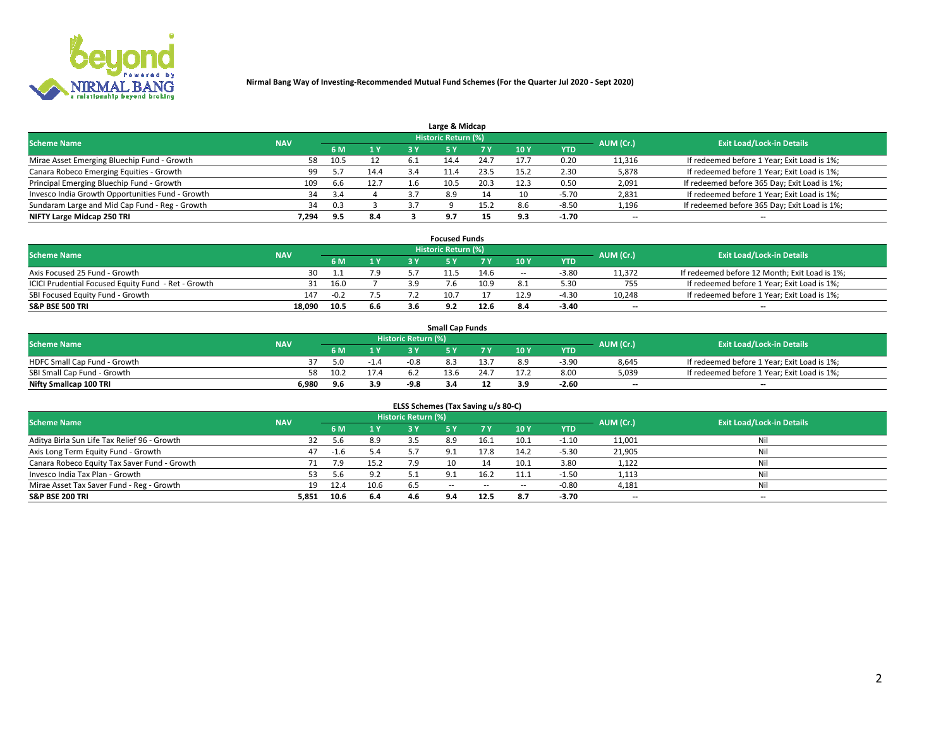

| Large & Midcap                                   |            |      |      |     |                     |      |      |            |           |                                              |  |  |  |  |
|--------------------------------------------------|------------|------|------|-----|---------------------|------|------|------------|-----------|----------------------------------------------|--|--|--|--|
| <b>Scheme Name</b>                               | <b>NAV</b> |      |      |     | Historic Return (%) |      |      |            | AUM (Cr.) | <b>Exit Load/Lock-in Details</b>             |  |  |  |  |
|                                                  |            | 6 M  | 1 Y  | 3 Y |                     | 7 V  | 10Y  | <b>YTD</b> |           |                                              |  |  |  |  |
| Mirae Asset Emerging Bluechip Fund - Growth      | 58         | 10.5 | 12   | 6.1 |                     | 24.7 | 17.7 | 0.20       | 11,316    | If redeemed before 1 Year; Exit Load is 1%;  |  |  |  |  |
| Canara Robeco Emerging Equities - Growth         | 99         |      | 14.4 |     | $-1.4$              | 23.5 | 15.2 | 2.30       | 5,878     | If redeemed before 1 Year; Exit Load is 1%;  |  |  |  |  |
| Principal Emerging Bluechip Fund - Growth        | 109        | 6.6  | 12.7 | 1.b | 10.5                | 20.3 | 12.3 | 0.50       | 2,091     | If redeemed before 365 Day; Exit Load is 1%; |  |  |  |  |
| Invesco India Growth Opportunities Fund - Growth | 34         | 3.4  |      | 37  | 8.9                 | 14   | 10   | -5.70      | 2,831     | If redeemed before 1 Year; Exit Load is 1%;  |  |  |  |  |
| Sundaram Large and Mid Cap Fund - Reg - Growth   | 34         | 0.3  |      |     |                     | 15.2 |      | $-8.50$    | 1,196     | If redeemed before 365 Day; Exit Load is 1%; |  |  |  |  |
| NIFTY Large Midcap 250 TRI                       | 7.294      | 9.5  | 8.4  |     | 9.7                 |      | 9.5  | -1.70      | $-$       | $- -$                                        |  |  |  |  |

|                                                     |            |        |     | <b>Focused Funds</b>       |      |        |            |                          |                                               |
|-----------------------------------------------------|------------|--------|-----|----------------------------|------|--------|------------|--------------------------|-----------------------------------------------|
| <b>Scheme Name</b>                                  | <b>NAV</b> |        |     | <b>Historic Return (%)</b> |      |        |            | AUM (Cr.)                | <b>Exit Load/Lock-in Details</b>              |
|                                                     |            | 6 M    | 1 Y |                            |      | 10 Y   | <b>YTD</b> |                          |                                               |
| Axis Focused 25 Fund - Growth                       | 30         |        | 7.9 |                            | 14.6 | $\sim$ | $-3.80$    | 11.372                   | If redeemed before 12 Month; Exit Load is 1%; |
| ICICI Prudential Focused Equity Fund - Ret - Growth |            | 16.0   |     |                            | 10.9 |        | 5.30       | 755                      | If redeemed before 1 Year; Exit Load is 1%;   |
| SBI Focused Equity Fund - Growth                    | 147        | $-0.2$ | 7.5 | 10.                        |      |        | $-4.3C$    | 10,248                   | If redeemed before 1 Year; Exit Load is 1%;   |
| <b>S&amp;P BSE 500 TRI</b>                          | 18,090     | 10.5   | 6.6 |                            | 12.6 |        | $-3.40$    | $\overline{\phantom{a}}$ | $\hspace{0.05cm} \cdots$                      |

| <b>Small Cap Funds</b>       |            |      |      |                     |      |  |                 |                                  |       |                                             |  |  |  |
|------------------------------|------------|------|------|---------------------|------|--|-----------------|----------------------------------|-------|---------------------------------------------|--|--|--|
| <b>Scheme Name</b>           | <b>NAV</b> |      |      | Historic Return (%) |      |  | AUM (Cr.)       | <b>Exit Load/Lock-in Details</b> |       |                                             |  |  |  |
|                              |            | 6 M  | 1 Y  |                     |      |  | 10 <sub>Y</sub> | <b>YTD</b>                       |       |                                             |  |  |  |
| HDFC Small Cap Fund - Growth |            |      | -1.4 | $-0.8$              |      |  | 8.9             | $-3.90$                          | 8,645 | If redeemed before 1 Year; Exit Load is 1%; |  |  |  |
| SBI Small Cap Fund - Growth  |            | 10.2 |      |                     | 13.6 |  |                 | 8.00                             | 5,039 | If redeemed before 1 Year; Exit Load is 1%; |  |  |  |
| Nifty Smallcap 100 TRI       | 6.980      | 9 G  | 3.9  | $-9.8$              | 3.4  |  | 3.9             | $-2.60$                          | $- -$ | $- -$                                       |  |  |  |

| ELSS Schemes (Tax Saving u/s 80-C)           |            |      |      |                            |            |        |                          |            |                          |                                  |  |  |  |
|----------------------------------------------|------------|------|------|----------------------------|------------|--------|--------------------------|------------|--------------------------|----------------------------------|--|--|--|
| <b>Scheme Name</b>                           | <b>NAV</b> |      |      | <b>Historic Return (%)</b> |            |        |                          |            | AUM (Cr.)                | <b>Exit Load/Lock-in Details</b> |  |  |  |
|                                              |            | 6 M  | 1 Y  | 73 V                       | <b>5Y</b>  | 7 Y    | 10Y                      | <b>YTD</b> |                          |                                  |  |  |  |
| Aditya Birla Sun Life Tax Relief 96 - Growth | 32         | 5.6  | 8.9  |                            | 8.9        | 16.1   | 10.1                     | $-1.10$    | 11,001                   | Nil                              |  |  |  |
| Axis Long Term Equity Fund - Growth          | 47         | -1.6 | 5.4  | 5.7                        | 9.1        | 17.8   | 14.2                     | $-5.30$    | 21,905                   | Nil                              |  |  |  |
| Canara Robeco Equity Tax Saver Fund - Growth | 71         | 7.9  | 15.2 | 7.9                        | 10         | 14     | 10.1                     | 3.80       | 1,122                    | Nil                              |  |  |  |
| Invesco India Tax Plan - Growth              |            | 5.6  | 9.2  |                            | $\alpha$ . | 16.2   | 11.1                     | $-1.50$    | 1,113                    | Nil                              |  |  |  |
| Mirae Asset Tax Saver Fund - Reg - Growth    | 19         | 12.4 | 10.6 | 6.5                        | $\sim$ $-$ | $\sim$ | $\overline{\phantom{a}}$ | $-0.80$    | 4,181                    | Nil                              |  |  |  |
| S&P BSE 200 TRI                              | 5,851      | 10.6 | 6.4  |                            | GΔ         | 12.5   | 8.7                      | $-3.70$    | $\overline{\phantom{a}}$ | $- -$                            |  |  |  |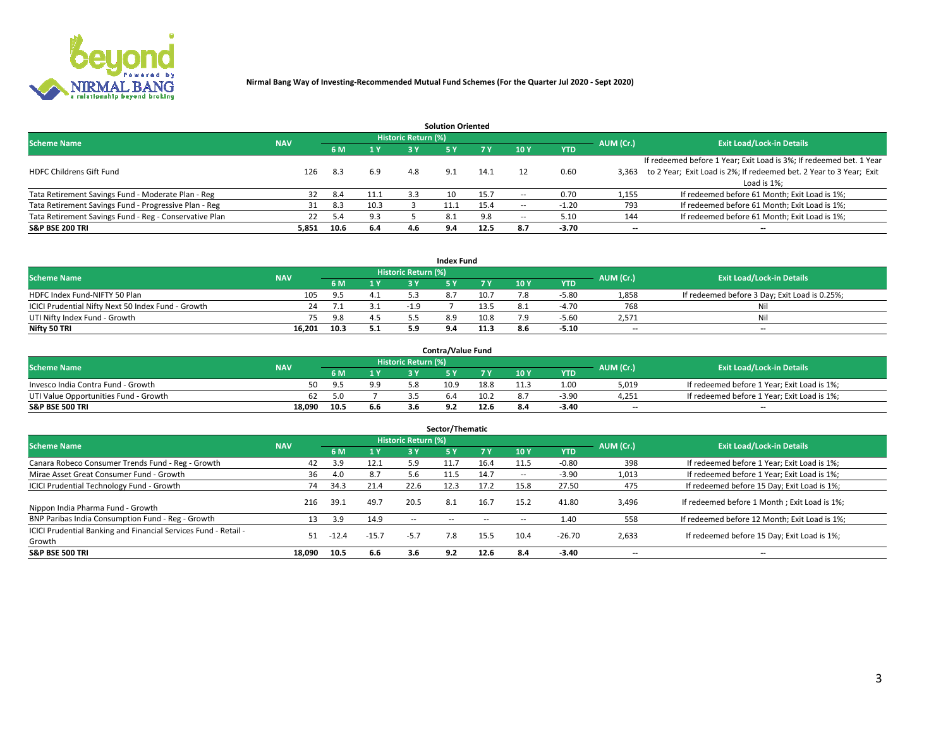

|                                                        |            |            |      |                            | <b>Solution Oriented</b> |      |                          |            |                          |                                                                     |
|--------------------------------------------------------|------------|------------|------|----------------------------|--------------------------|------|--------------------------|------------|--------------------------|---------------------------------------------------------------------|
| <b>Scheme Name</b>                                     | <b>NAV</b> |            |      | <b>Historic Return (%)</b> |                          |      |                          |            | AUM (Cr.)                | <b>Exit Load/Lock-in Details</b>                                    |
|                                                        |            | <b>6 M</b> | 1 Y  | 3 Y                        |                          |      | 10Y                      | <b>YTD</b> |                          |                                                                     |
|                                                        |            |            |      |                            |                          |      |                          |            |                          | If redeemed before 1 Year; Exit Load is 3%; If redeemed bet. 1 Year |
| <b>HDFC Childrens Gift Fund</b>                        | 126        | 8.3        | 6.9  | 4.8                        | 9.1                      | 14.1 |                          | 0.60       | 3.363                    | to 2 Year; Exit Load is 2%; If redeemed bet. 2 Year to 3 Year; Exit |
|                                                        |            |            |      |                            |                          |      |                          |            |                          | Load is 1%;                                                         |
| Tata Retirement Savings Fund - Moderate Plan - Reg     | 32         | 8.4        | 11.1 | 3.3                        | 10                       | 15.7 | --                       | 0.70       | 1,155                    | If redeemed before 61 Month; Exit Load is 1%;                       |
| Tata Retirement Savings Fund - Progressive Plan - Reg  | 31         | 8.3        | 10.3 |                            |                          | 15.4 | $\overline{\phantom{a}}$ | -1.20      | 793                      | If redeemed before 61 Month; Exit Load is 1%;                       |
| Tata Retirement Savings Fund - Reg - Conservative Plan | 22         | 5.4        | 9.3  |                            | 8.1                      | 9.8  | --                       | 5.10       | 144                      | If redeemed before 61 Month; Exit Load is 1%;                       |
| S&P BSE 200 TRI                                        | 5,851      | 10.6       | 6.4  |                            | 9.4                      | 12.5 | 8.7                      | $-3.70$    | $\overline{\phantom{a}}$ | $- -$                                                               |

|                                                    |            |      |              |                            | <b>Index Fund</b> |      |      |            |                          |                                               |
|----------------------------------------------------|------------|------|--------------|----------------------------|-------------------|------|------|------------|--------------------------|-----------------------------------------------|
| <b>Scheme Name</b>                                 | <b>NAV</b> |      |              | <b>Historic Return (%)</b> |                   |      |      |            | AUM (Cr.)                | <b>Exit Load/Lock-in Details</b>              |
|                                                    |            |      | $\sqrt{1}$ Y | 2 V                        |                   | 7 V  | 10 Y | <b>YTD</b> |                          |                                               |
| HDFC Index Fund-NIFTY 50 Plan                      | 105        | 9.5  | 4.1          |                            |                   | 10.7 |      | $-5.80$    | 1,858                    | If redeemed before 3 Day; Exit Load is 0.25%; |
| ICICI Prudential Nifty Next 50 Index Fund - Growth |            |      |              | $-1.9$                     |                   | 13.5 |      | $-4.70$    | 768                      | Nil                                           |
| UTI Nifty Index Fund - Growth                      |            | 9.8  |              |                            |                   | 10.8 |      | $-5.60$    | 2,571                    | Nil                                           |
| Nifty 50 TRI                                       | 16.201     | 10.3 | 5.1          |                            |                   | 11.3 | 8.6  | $-5.10$    | $\overline{\phantom{a}}$ | $- -$                                         |

|                                       |            |      |     |                            | <b>Contra/Value Fund</b> |      |     |            |                          |                                             |
|---------------------------------------|------------|------|-----|----------------------------|--------------------------|------|-----|------------|--------------------------|---------------------------------------------|
| <b>Scheme Name</b>                    | <b>NAV</b> |      |     | <b>Historic Return (%)</b> |                          |      |     |            | AUM (Cr.)                | <b>Exit Load/Lock-in Details</b>            |
|                                       |            |      | 1 V |                            |                          | 7 V  | 10Y | <b>YTD</b> |                          |                                             |
| Invesco India Contra Fund - Growth    | 50         | -95  | 9.9 |                            | 10.9                     | 18.8 |     | 1.00       | 5,019                    | If redeemed before 1 Year; Exit Load is 1%; |
| UTI Value Opportunities Fund - Growth | 62         |      |     |                            |                          | 10.2 |     | $-3.90$    | 4,251                    | If redeemed before 1 Year; Exit Load is 1%; |
| <b>S&amp;P BSE 500 TRI</b>            | 18.090     | 10.5 | 6.6 |                            |                          | 12.6 |     | $-3.40$    | $\overline{\phantom{a}}$ | $- -$                                       |

| Sector/Thematic                                                           |            |         |         |                     |            |            |                          |            |           |                                               |  |  |  |
|---------------------------------------------------------------------------|------------|---------|---------|---------------------|------------|------------|--------------------------|------------|-----------|-----------------------------------------------|--|--|--|
| <b>Scheme Name</b>                                                        | <b>NAV</b> |         |         | Historic Return (%) |            |            |                          |            | AUM (Cr.) | <b>Exit Load/Lock-in Details</b>              |  |  |  |
|                                                                           |            | 6 M     | 1 Y     | 3 Y                 | <b>5Y</b>  | <b>7 Y</b> | 10Y                      | <b>YTD</b> |           |                                               |  |  |  |
| Canara Robeco Consumer Trends Fund - Reg - Growth                         | 42         | 3.9     | 12.1    | 5.9                 | 11.7       | 16.4       | 11.5                     | $-0.80$    | 398       | If redeemed before 1 Year; Exit Load is 1%;   |  |  |  |
| Mirae Asset Great Consumer Fund - Growth                                  | 36         | 4.0     | 8.7     | 5.6                 | 11.5       | 14.7       | $\overline{\phantom{a}}$ | $-3.90$    | 1,013     | If redeemed before 1 Year; Exit Load is 1%;   |  |  |  |
| <b>ICICI Prudential Technology Fund - Growth</b>                          | 74         | 34.3    | 21.4    | 22.6                | 12.3       | 17.2       | 15.8                     | 27.50      | 475       | If redeemed before 15 Day; Exit Load is 1%;   |  |  |  |
| Nippon India Pharma Fund - Growth                                         | 216        | 39.1    | 49.7    | 20.5                | 8.1        | 16.7       | 15.2                     | 41.80      | 3,496     | If redeemed before 1 Month; Exit Load is 1%;  |  |  |  |
| BNP Paribas India Consumption Fund - Reg - Growth                         | 13         | 3.9     | 14.9    | $\sim$ $\sim$       | $\sim$ $-$ | $\sim$     | $\overline{\phantom{a}}$ | 1.40       | 558       | If redeemed before 12 Month; Exit Load is 1%; |  |  |  |
| ICICI Prudential Banking and Financial Services Fund - Retail -<br>Growth | 51         | $-12.4$ | $-15.7$ | $-5.7$              | 7.8        | 15.5       | 10.4                     | $-26.70$   | 2,633     | If redeemed before 15 Day; Exit Load is 1%;   |  |  |  |
| <b>S&amp;P BSE 500 TRI</b>                                                | 18.090     | 10.5    | 6.6     | 3.6                 | 9.2        | 12.6       | 8.4                      | $-3.40$    | $- -$     | --                                            |  |  |  |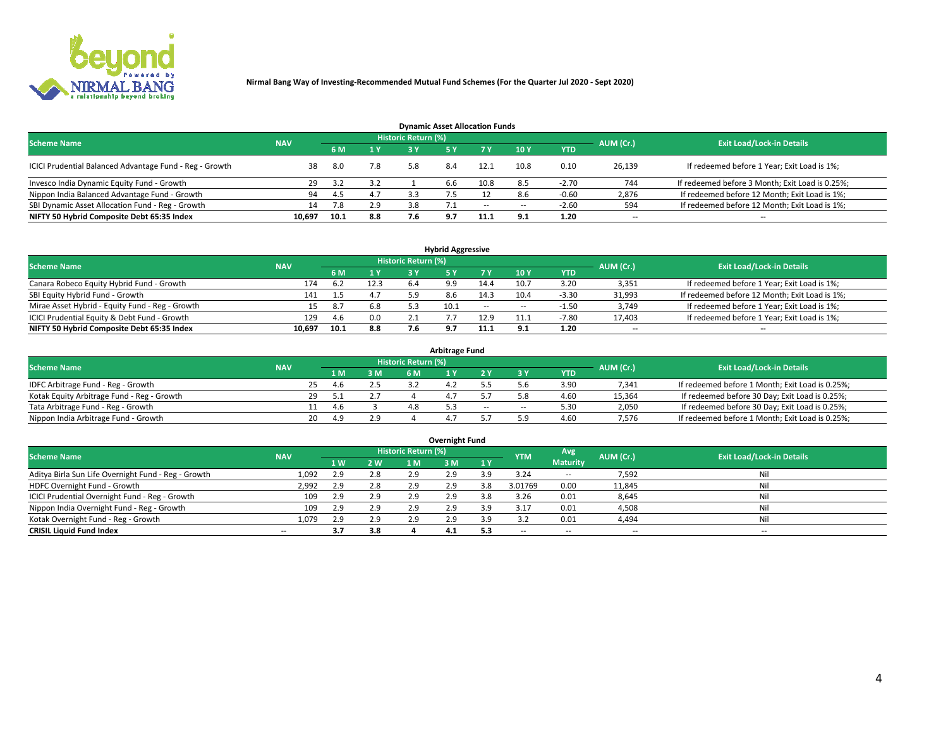

| <b>Dynamic Asset Allocation Funds</b>                   |            |      |     |                            |     |        |                          |            |           |                                                 |  |  |  |  |
|---------------------------------------------------------|------------|------|-----|----------------------------|-----|--------|--------------------------|------------|-----------|-------------------------------------------------|--|--|--|--|
| <b>Scheme Name</b>                                      | <b>NAV</b> |      |     | <b>Historic Return (%)</b> |     |        |                          |            | AUM (Cr.) | <b>Exit Load/Lock-in Details</b>                |  |  |  |  |
|                                                         |            | 6 M  | 1 Y |                            |     |        | $-10Y$                   | <b>YTD</b> |           |                                                 |  |  |  |  |
| ICICI Prudential Balanced Advantage Fund - Reg - Growth |            | 8.0  | 7.8 | 5.8                        | 8.4 | 12.1   | 10.8                     | 0.10       | 26,139    | If redeemed before 1 Year; Exit Load is 1%;     |  |  |  |  |
| Invesco India Dynamic Equity Fund - Growth              | 29         | 3.2  | 3.2 |                            | b.b | 10.8   | 8.5                      | $-2.70$    | 744       | If redeemed before 3 Month; Exit Load is 0.25%; |  |  |  |  |
| Nippon India Balanced Advantage Fund - Growth           | 94         | -4.5 | 4.7 |                            |     |        | 8.6                      | -0.60      | 2,876     | If redeemed before 12 Month; Exit Load is 1%;   |  |  |  |  |
| SBI Dynamic Asset Allocation Fund - Reg - Growth        | 14         | 7.8  | 2.9 | 3.8                        |     | $\sim$ | $\overline{\phantom{a}}$ | $-2.60$    | 594       | If redeemed before 12 Month; Exit Load is 1%;   |  |  |  |  |
| NIFTY 50 Hybrid Composite Debt 65:35 Index              | 10,697     | 10.1 | 8.8 | 7.6                        | 9.7 | 11.1   | 9.1                      | 1.20       | $- -$     | $- -$                                           |  |  |  |  |

| <b>Hybrid Aggressive</b>                        |                                                         |      |      |     |            |            |                          |            |           |                                               |  |  |  |  |
|-------------------------------------------------|---------------------------------------------------------|------|------|-----|------------|------------|--------------------------|------------|-----------|-----------------------------------------------|--|--|--|--|
|                                                 | Historic Return (%)<br><b>Scheme Name</b><br><b>NAV</b> |      |      |     |            |            |                          |            |           |                                               |  |  |  |  |
|                                                 |                                                         | 6 M  | 1 Y  | RУ  |            | 7 V        | 10Y                      | <b>YTD</b> | AUM (Cr.) | <b>Exit Load/Lock-in Details</b>              |  |  |  |  |
| Canara Robeco Equity Hybrid Fund - Growth       | 174                                                     | 6.2  | 12.3 | 6.4 | $^{\circ}$ | 14.4       | 10.7                     | 3.20       | 3,351     | If redeemed before 1 Year; Exit Load is 1%;   |  |  |  |  |
| SBI Equity Hybrid Fund - Growth                 | 141                                                     |      | 4.7  |     |            | 14.3       | 10.4                     | $-3.30$    | 31,993    | If redeemed before 12 Month; Exit Load is 1%; |  |  |  |  |
| Mirae Asset Hybrid - Equity Fund - Reg - Growth | 15                                                      |      | 6.8  |     | 10.1       | $\sim$ $-$ | $\overline{\phantom{a}}$ | $-1.50$    | 3,749     | If redeemed before 1 Year; Exit Load is 1%;   |  |  |  |  |
| ICICI Prudential Equity & Debt Fund - Growth    | 129                                                     | 4.6  | 0.0  |     |            | 12.9       | 11.1                     | $-7.80$    | 17,403    | If redeemed before 1 Year; Exit Load is 1%;   |  |  |  |  |
| NIFTY 50 Hybrid Composite Debt 65:35 Index      | 10.697                                                  | 10.1 | 8.8  |     |            |            |                          | 1.20       | $- -$     | $- -$                                         |  |  |  |  |

| <b>Arbitrage Fund</b>                      |            |    |     |     |                     |     |        |        |            |           |                                                 |  |  |  |
|--------------------------------------------|------------|----|-----|-----|---------------------|-----|--------|--------|------------|-----------|-------------------------------------------------|--|--|--|
| <b>Scheme Name</b>                         | <b>NAV</b> |    |     |     | Historic Return (%) |     |        |        |            | AUM (Cr.) | <b>Exit Load/Lock-in Details</b>                |  |  |  |
|                                            |            |    | LΜ  | 3 M | <b>6M</b>           |     |        |        | <b>YTD</b> |           |                                                 |  |  |  |
| IDFC Arbitrage Fund - Reg - Growth         |            | 25 | 4.b |     |                     | 4.4 |        |        | 3.90       | 7,341     | If redeemed before 1 Month; Exit Load is 0.25%; |  |  |  |
| Kotak Equity Arbitrage Fund - Reg - Growth |            | 29 | -51 |     |                     |     |        |        | 4.60       | 15,364    | If redeemed before 30 Day; Exit Load is 0.25%;  |  |  |  |
| Tata Arbitrage Fund - Reg - Growth         |            |    | 4.6 |     |                     |     | $\sim$ | $\sim$ | 5.30       | 2,050     | If redeemed before 30 Day; Exit Load is 0.25%;  |  |  |  |
| Nippon India Arbitrage Fund - Growth       |            | 20 | 4.9 | 2.9 |                     |     |        | ິດ     | 4.60       | 7.576     | If redeemed before 1 Month; Exit Load is 0.25%; |  |  |  |

| Overnight Fund                                      |            |            |     |                     |     |           |            |                 |                          |                                  |  |  |  |
|-----------------------------------------------------|------------|------------|-----|---------------------|-----|-----------|------------|-----------------|--------------------------|----------------------------------|--|--|--|
| <b>Scheme Name</b>                                  | <b>NAV</b> |            |     | Historic Return (%) |     |           | <b>YTM</b> | Avg             | AUM (Cr.)                | <b>Exit Load/Lock-in Details</b> |  |  |  |
|                                                     |            | <b>1 W</b> | 2 W | 1 M                 | : M | <b>1Y</b> |            | <b>Maturity</b> |                          |                                  |  |  |  |
| Aditya Birla Sun Life Overnight Fund - Reg - Growth | 1,092      | 2.9        | 2.8 | 2.9                 | 2.9 | 3 Q       | 3.24       | $\sim$ $-$      | 7,592                    | Nil                              |  |  |  |
| HDFC Overnight Fund - Growth                        | 2,992      | 2.9        | 2.8 | 2.9                 | 2.9 | 3.8       | 3.01769    | 0.00            | 11,845                   | Nil                              |  |  |  |
| ICICI Prudential Overnight Fund - Reg - Growth      | 109        |            | 2.9 | 2.9                 | 2.9 |           | 3.26       | 0.01            | 8,645                    | Nil                              |  |  |  |
| Nippon India Overnight Fund - Reg - Growth          | 109        | 2.9        | 2.9 | 2.9                 | 2.9 | 3.9       | 3.17       | 0.01            | 4,508                    | Nil                              |  |  |  |
| Kotak Overnight Fund - Reg - Growth                 | 1,079      | 2.9        | 2.9 | 2.9                 | 2.9 | 3 Q       |            | 0.01            | 4,494                    | Nil                              |  |  |  |
| <b>CRISIL Liquid Fund Index</b>                     | $-$        | 3.7        | 3.8 |                     | 4.1 | 5.3       | --         | $- -$           | $\overline{\phantom{a}}$ | $- -$                            |  |  |  |

### **Overnight Fund**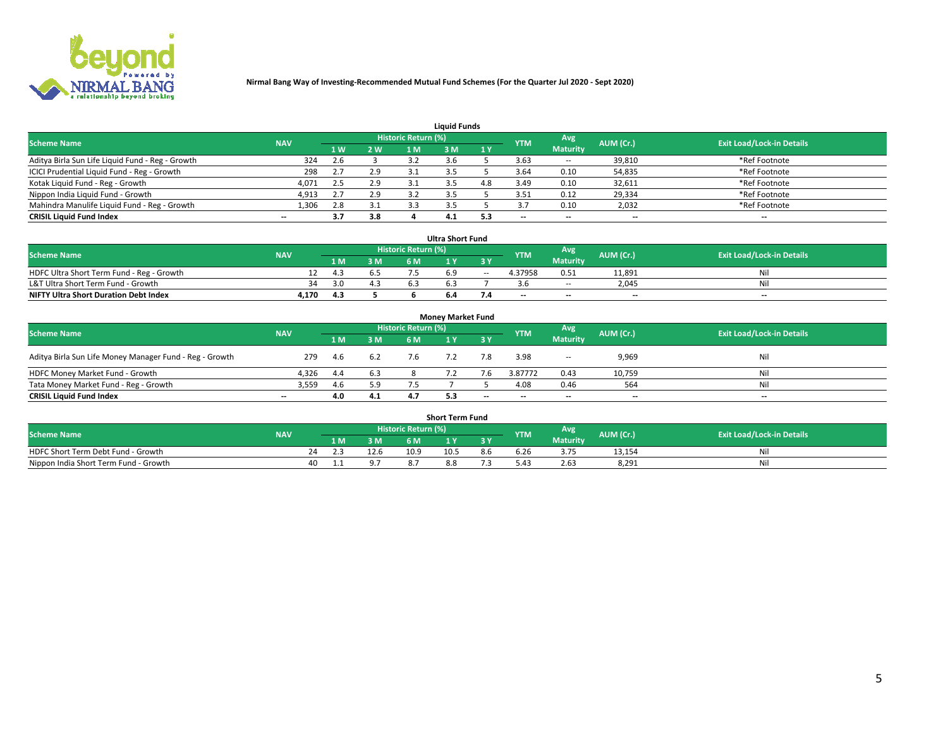

| <b>Liquid Funds</b>                              |            |                |     |                            |     |     |            |                 |           |                                  |  |  |  |  |
|--------------------------------------------------|------------|----------------|-----|----------------------------|-----|-----|------------|-----------------|-----------|----------------------------------|--|--|--|--|
| <b>Scheme Name</b>                               | <b>NAV</b> |                |     | <b>Historic Return (%)</b> |     |     | <b>YTM</b> | Avg             | AUM (Cr.) | <b>Exit Load/Lock-in Details</b> |  |  |  |  |
|                                                  |            | 1 <sub>W</sub> | 2 W |                            | : M | 1Y  |            | <b>Maturity</b> |           |                                  |  |  |  |  |
| Aditya Birla Sun Life Liquid Fund - Reg - Growth | 324        | 2.6            |     |                            |     |     | 3.63       | $\sim$ $-$      | 39,810    | *Ref Footnote                    |  |  |  |  |
| ICICI Prudential Liquid Fund - Reg - Growth      | 298        |                | 2.9 |                            |     |     | 3.64       | 0.10            | 54,835    | *Ref Footnote                    |  |  |  |  |
| Kotak Liquid Fund - Reg - Growth                 | 4,071      | 2.5            | 2.9 |                            |     | 4.8 | 3.49       | 0.10            | 32,611    | *Ref Footnote                    |  |  |  |  |
| Nippon India Liquid Fund - Growth                | 4,913      |                | 2.9 |                            |     |     | 3.51       | 0.12            | 29,334    | *Ref Footnote                    |  |  |  |  |
| Mahindra Manulife Liquid Fund - Reg - Growth     | 1,306      | 2.8            | 3.1 |                            |     |     |            | 0.10            | 2,032     | *Ref Footnote                    |  |  |  |  |
| <b>CRISIL Liquid Fund Index</b>                  | $- -$      | 3.7            | 3.8 |                            | 4.1 | 5.3 | $- -$      | --              | --        | $- -$                            |  |  |  |  |

| <b>Ultra Short Fund</b>                                                                                                                     |       |      |     |     |  |        |                          |                 |                          |       |  |  |  |  |
|---------------------------------------------------------------------------------------------------------------------------------------------|-------|------|-----|-----|--|--------|--------------------------|-----------------|--------------------------|-------|--|--|--|--|
| <b>Historic Return (%)</b><br><b>Avg</b><br><b>Scheme Name</b><br>AUM (Cr.)<br><b>Exit Load/Lock-in Details</b><br><b>YTM</b><br><b>NAV</b> |       |      |     |     |  |        |                          |                 |                          |       |  |  |  |  |
|                                                                                                                                             |       | 1 M. | 3 M | 6 M |  | 3 Y    |                          | <b>Maturity</b> |                          |       |  |  |  |  |
| HDFC Ultra Short Term Fund - Reg - Growth                                                                                                   |       | 4.3  |     |     |  | $\sim$ | 4.37958                  | 0.51            | 11.891                   | Nil   |  |  |  |  |
| L&T Ultra Short Term Fund - Growth                                                                                                          | 34    | 3.0  |     |     |  |        |                          | <b>COLUM</b>    | 2.045                    | Nil   |  |  |  |  |
| <b>NIFTY Ultra Short Duration Debt Index</b>                                                                                                | 4,170 | 4.3  |     |     |  |        | $\overline{\phantom{a}}$ | $- -$           | $\overline{\phantom{a}}$ | $- -$ |  |  |  |  |

| <b>Money Market Fund</b>                                |            |     |     |                     |  |       |                          |                 |                          |                                  |  |  |  |  |
|---------------------------------------------------------|------------|-----|-----|---------------------|--|-------|--------------------------|-----------------|--------------------------|----------------------------------|--|--|--|--|
| <b>Scheme Name</b>                                      | <b>NAV</b> |     |     | Historic Return (%) |  |       | <b>YTM</b>               | Avg             | AUM (Cr.)                | <b>Exit Load/Lock-in Details</b> |  |  |  |  |
|                                                         |            | 1 M | 3 M | 6 M                 |  | 3 Y   |                          | <b>Maturity</b> |                          |                                  |  |  |  |  |
| Aditya Birla Sun Life Money Manager Fund - Reg - Growth | 279        | 4.6 | 6.2 | 7.6                 |  | 7.8   | 3.98                     | $- -$           | 9,969                    | Nil                              |  |  |  |  |
| HDFC Money Market Fund - Growth                         | 4.326      | 4.4 | 6.3 |                     |  |       | 3.87772                  | 0.43            | 10,759                   | Nil                              |  |  |  |  |
| Tata Money Market Fund - Reg - Growth                   | 3,559      | 4.6 | 5.9 |                     |  |       | 4.08                     | 0.46            | 564                      | Nil                              |  |  |  |  |
| <b>CRISIL Liquid Fund Index</b>                         | $- -$      | 4.0 | 4.1 |                     |  | $- -$ | $\overline{\phantom{a}}$ | $- -$           | $\overline{\phantom{a}}$ | $\overline{\phantom{a}}$         |  |  |  |  |

| <b>Short Term Fund</b>                |            |    |     |      |                     |                |     |            |                 |           |                                  |  |  |  |
|---------------------------------------|------------|----|-----|------|---------------------|----------------|-----|------------|-----------------|-----------|----------------------------------|--|--|--|
| <b>Scheme Name</b>                    | <b>NAV</b> |    |     |      | Historic Return (%) |                |     | <b>YTM</b> | Avg             | AUM (Cr.) | <b>Exit Load/Lock-in Details</b> |  |  |  |
|                                       |            |    | 1 M | 3 M  | 6 M                 | $\overline{M}$ | 2 V |            | <b>Maturity</b> |           |                                  |  |  |  |
| HDFC Short Term Debt Fund - Growth    |            | 24 |     | 12.6 | 10.9                | 10.5           | 8.h | 6.26       | 3.75            | 13,154    |                                  |  |  |  |
| Nippon India Short Term Fund - Growth |            | 40 |     |      |                     | ŏ.ŏ            |     |            | 2.63            | 8,291     | M                                |  |  |  |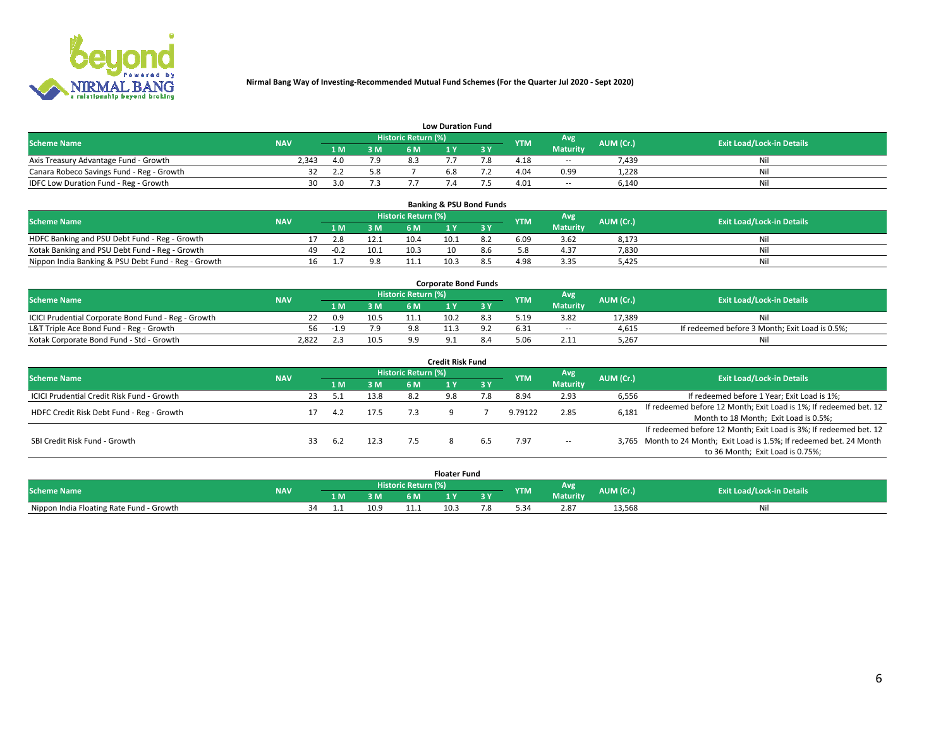

|                                           | <b>Low Duration Fund</b> |      |     |                     |     |     |            |                 |           |                                  |  |  |  |  |  |
|-------------------------------------------|--------------------------|------|-----|---------------------|-----|-----|------------|-----------------|-----------|----------------------------------|--|--|--|--|--|
| <b>Scheme Name</b>                        | <b>NAV</b>               |      |     | Historic Return (%) |     |     | <b>YTM</b> | <b>Avg</b>      | AUM (Cr.) | <b>Exit Load/Lock-in Details</b> |  |  |  |  |  |
|                                           |                          | 1 M. | 3 M | 6 M                 |     | 2 V |            | <b>Maturity</b> |           |                                  |  |  |  |  |  |
| Axis Treasury Advantage Fund - Growth     | 2.343                    | 4.0  | 7.9 |                     |     |     | 4.18       | $\sim$ $-$      | 7,439     | Nil                              |  |  |  |  |  |
| Canara Robeco Savings Fund - Reg - Growth |                          |      | 5.8 |                     | b.X |     | 4.04       | 0.99            | 1,228     | Nil                              |  |  |  |  |  |
| IDFC Low Duration Fund - Reg - Growth     | 30                       | 3.O  |     |                     |     |     | 4.01       | $\sim$ $-$      | 6,140     | Nil                              |  |  |  |  |  |

| <b>Banking &amp; PSU Bond Funds</b>                 |            |    |        |      |                     |      |     |            |                 |           |                                  |  |  |  |
|-----------------------------------------------------|------------|----|--------|------|---------------------|------|-----|------------|-----------------|-----------|----------------------------------|--|--|--|
| <b>Scheme Name</b>                                  | <b>NAV</b> |    |        |      | Historic Return (%) |      |     | <b>YTM</b> | Avg             | AUM (Cr.) | <b>Exit Load/Lock-in Details</b> |  |  |  |
|                                                     |            |    | 1 M.   | 3 M  | 6 M                 |      |     |            | <b>Maturity</b> |           |                                  |  |  |  |
| HDFC Banking and PSU Debt Fund - Reg - Growth       |            |    | 2.8    | 12.1 | 10.4                | 10.1 | 8.2 | 6.09       | 3.62            | 8,173     | Ni                               |  |  |  |
| Kotak Banking and PSU Debt Fund - Reg - Growth      |            | 49 | $-0.2$ | 10.1 | 10.3                |      |     |            | 4.37            | 7,830     | Ni                               |  |  |  |
| Nippon India Banking & PSU Debt Fund - Reg - Growth |            | 16 |        | 9.8  | 11.1                | 10.3 |     | 4.98       | 3.35            | 5.425     | Νi                               |  |  |  |

| <b>Corporate Bond Funds</b>                         |            |        |      |                            |      |  |            |            |           |                                                |  |  |  |  |
|-----------------------------------------------------|------------|--------|------|----------------------------|------|--|------------|------------|-----------|------------------------------------------------|--|--|--|--|
| <b>Scheme Name</b>                                  | <b>NAV</b> |        |      | <b>Historic Return (%)</b> |      |  | <b>YTM</b> | Avg        | AUM (Cr.) | <b>Exit Load/Lock-in Details</b>               |  |  |  |  |
|                                                     |            |        | 3 M  | 6 M                        |      |  |            | Maturity   |           |                                                |  |  |  |  |
| ICICI Prudential Corporate Bond Fund - Reg - Growth |            | 0.9    | 10.5 |                            | 10.2 |  | 5.19       | 3.82       | 17.389    | Nil                                            |  |  |  |  |
| L&T Triple Ace Bond Fund - Reg - Growth             |            | $-1.9$ | 7.9  |                            |      |  | 6.31       | $\sim$ $-$ | 4,615     | If redeemed before 3 Month; Exit Load is 0.5%; |  |  |  |  |
| Kotak Corporate Bond Fund - Std - Growth            | 2,822      |        | 10.5 | $^{\circ}$                 |      |  |            | 2.11       | 5,267     | Nil                                            |  |  |  |  |

| <b>Credit Risk Fund</b>                    |            |    |     |      |                            |     |           |            |                 |           |                                                                       |  |  |  |
|--------------------------------------------|------------|----|-----|------|----------------------------|-----|-----------|------------|-----------------|-----------|-----------------------------------------------------------------------|--|--|--|
| <b>Scheme Name</b>                         | <b>NAV</b> |    |     |      | <b>Historic Return (%)</b> |     |           | <b>YTM</b> | Avg             | AUM (Cr.) | <b>Exit Load/Lock-in Details</b>                                      |  |  |  |
|                                            |            |    | 1 M | 3 M  | 6 M                        |     | <b>3Y</b> |            | <b>Maturity</b> |           |                                                                       |  |  |  |
| ICICI Prudential Credit Risk Fund - Growth |            | 23 |     | 13.8 | 8.2                        | 9.8 |           | 8.94       | 2.93            | 6,556     | If redeemed before 1 Year; Exit Load is 1%;                           |  |  |  |
| HDFC Credit Risk Debt Fund - Reg - Growth  |            |    | 4.2 | 17.5 |                            |     |           | 9.79122    | 2.85            | 6,181     | If redeemed before 12 Month; Exit Load is 1%; If redeemed bet. 12     |  |  |  |
|                                            |            |    |     |      |                            |     |           |            |                 |           | Month to 18 Month; Exit Load is 0.5%;                                 |  |  |  |
|                                            |            |    |     |      |                            |     |           |            |                 |           | If redeemed before 12 Month; Exit Load is 3%; If redeemed bet. 12     |  |  |  |
| SBI Credit Risk Fund - Growth              |            |    | 6.2 | 12.3 |                            |     |           | 7.97       | $\sim$ $-$      |           | 3,765 Month to 24 Month; Exit Load is 1.5%; If redeemed bet. 24 Month |  |  |  |
|                                            |            |    |     |      |                            |     |           |            |                 |           | to 36 Month; Exit Load is 0.75%;                                      |  |  |  |

| <b>Floater Fund</b>                      |            |    |     |      |                     |      |   |            |                 |           |                                  |
|------------------------------------------|------------|----|-----|------|---------------------|------|---|------------|-----------------|-----------|----------------------------------|
| <b>Scheme Name</b>                       | <b>NAV</b> |    |     |      | Historic Return (%) |      |   | <b>YTM</b> | Avg             | AUM (Cr.) | <b>Exit Load/Lock-in Details</b> |
|                                          |            |    | 1 M | ЗM   | 6 M                 | - 17 | . |            | <b>Maturity</b> |           |                                  |
| Nippon India Floating Rate Fund - Growth |            | 34 |     | 10.9 |                     | 10.3 |   |            | 2.87            | 13,568    | NL                               |